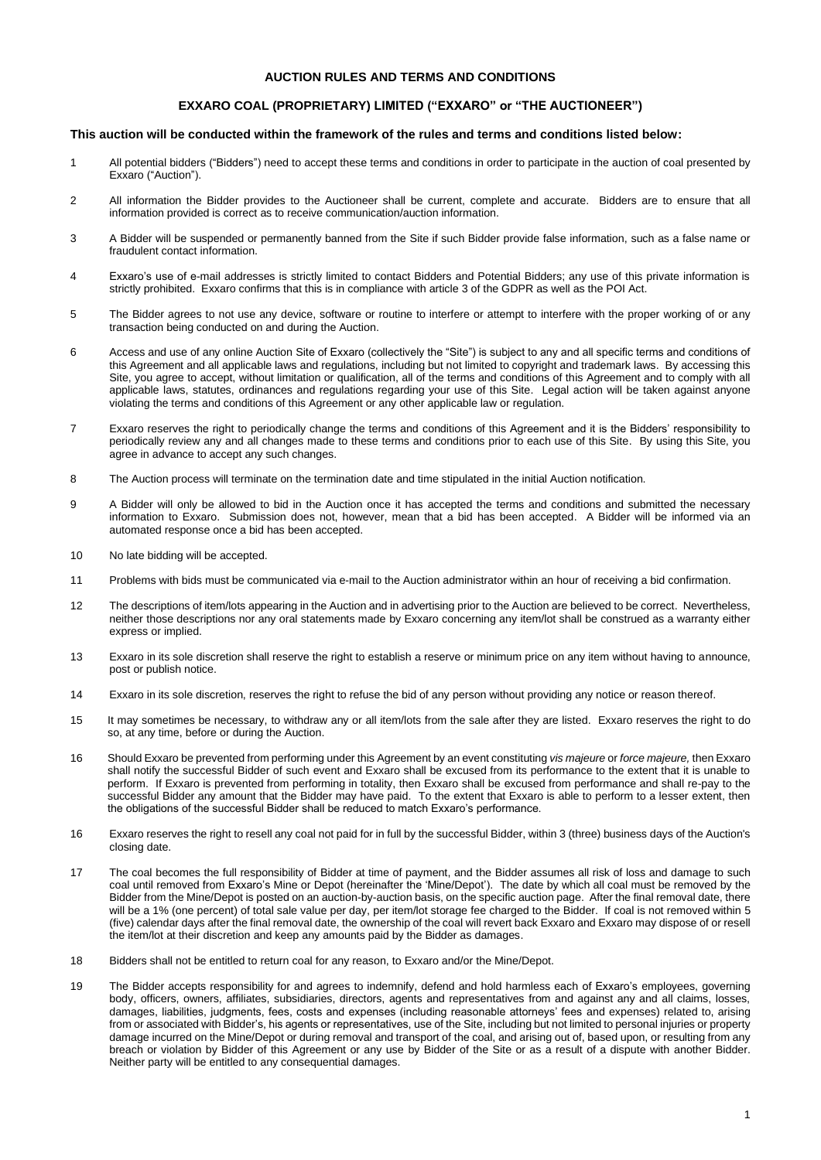# **AUCTION RULES AND TERMS AND CONDITIONS**

# **EXXARO COAL (PROPRIETARY) LIMITED ("EXXARO" or "THE AUCTIONEER")**

# **This auction will be conducted within the framework of the rules and terms and conditions listed below:**

- 1 All potential bidders ("Bidders") need to accept these terms and conditions in order to participate in the auction of coal presented by Exxaro ("Auction").
- 2 All information the Bidder provides to the Auctioneer shall be current, complete and accurate. Bidders are to ensure that all information provided is correct as to receive communication/auction information.
- 3 A Bidder will be suspended or permanently banned from the Site if such Bidder provide false information, such as a false name or fraudulent contact information.
- 4 Exxaro's use of e-mail addresses is strictly limited to contact Bidders and Potential Bidders; any use of this private information is strictly prohibited. Exxaro confirms that this is in compliance with article 3 of the GDPR as well as the POI Act.
- 5 The Bidder agrees to not use any device, software or routine to interfere or attempt to interfere with the proper working of or any transaction being conducted on and during the Auction.
- 6 Access and use of any online Auction Site of Exxaro (collectively the "Site") is subject to any and all specific terms and conditions of this Agreement and all applicable laws and regulations, including but not limited to copyright and trademark laws. By accessing this Site, you agree to accept, without limitation or qualification, all of the terms and conditions of this Agreement and to comply with all applicable laws, statutes, ordinances and regulations regarding your use of this Site. Legal action will be taken against anyone violating the terms and conditions of this Agreement or any other applicable law or regulation.
- 7 Exxaro reserves the right to periodically change the terms and conditions of this Agreement and it is the Bidders' responsibility to periodically review any and all changes made to these terms and conditions prior to each use of this Site. By using this Site, you agree in advance to accept any such changes.
- 8 The Auction process will terminate on the termination date and time stipulated in the initial Auction notification.
- 9 A Bidder will only be allowed to bid in the Auction once it has accepted the terms and conditions and submitted the necessary information to Exxaro. Submission does not, however, mean that a bid has been accepted. A Bidder will be informed via an automated response once a bid has been accepted.
- 10 No late bidding will be accepted.
- 11 Problems with bids must be communicated via e-mail to the Auction administrator within an hour of receiving a bid confirmation.
- 12 The descriptions of item/lots appearing in the Auction and in advertising prior to the Auction are believed to be correct. Nevertheless, neither those descriptions nor any oral statements made by Exxaro concerning any item/lot shall be construed as a warranty either express or implied.
- 13 Exxaro in its sole discretion shall reserve the right to establish a reserve or minimum price on any item without having to announce, post or publish notice.
- 14 Exxaro in its sole discretion, reserves the right to refuse the bid of any person without providing any notice or reason thereof.
- 15 It may sometimes be necessary, to withdraw any or all item/lots from the sale after they are listed. Exxaro reserves the right to do so, at any time, before or during the Auction.
- 16 Should Exxaro be prevented from performing under this Agreement by an event constituting *vis majeure* or *force majeure,* then Exxaro shall notify the successful Bidder of such event and Exxaro shall be excused from its performance to the extent that it is unable to perform. If Exxaro is prevented from performing in totality, then Exxaro shall be excused from performance and shall re-pay to the successful Bidder any amount that the Bidder may have paid. To the extent that Exxaro is able to perform to a lesser extent, then the obligations of the successful Bidder shall be reduced to match Exxaro's performance.
- 16 Exxaro reserves the right to resell any coal not paid for in full by the successful Bidder, within 3 (three) business days of the Auction's closing date.
- 17 The coal becomes the full responsibility of Bidder at time of payment, and the Bidder assumes all risk of loss and damage to such coal until removed from Exxaro's Mine or Depot (hereinafter the 'Mine/Depot'). The date by which all coal must be removed by the Bidder from the Mine/Depot is posted on an auction-by-auction basis, on the specific auction page. After the final removal date, there will be a 1% (one percent) of total sale value per day, per item/lot storage fee charged to the Bidder. If coal is not removed within 5 (five) calendar days after the final removal date, the ownership of the coal will revert back Exxaro and Exxaro may dispose of or resell the item/lot at their discretion and keep any amounts paid by the Bidder as damages.
- 18 Bidders shall not be entitled to return coal for any reason, to Exxaro and/or the Mine/Depot.
- 19 The Bidder accepts responsibility for and agrees to indemnify, defend and hold harmless each of Exxaro's employees, governing body, officers, owners, affiliates, subsidiaries, directors, agents and representatives from and against any and all claims, losses, damages, liabilities, judgments, fees, costs and expenses (including reasonable attorneys' fees and expenses) related to, arising from or associated with Bidder's, his agents or representatives, use of the Site, including but not limited to personal injuries or property damage incurred on the Mine/Depot or during removal and transport of the coal, and arising out of, based upon, or resulting from any breach or violation by Bidder of this Agreement or any use by Bidder of the Site or as a result of a dispute with another Bidder. Neither party will be entitled to any consequential damages.